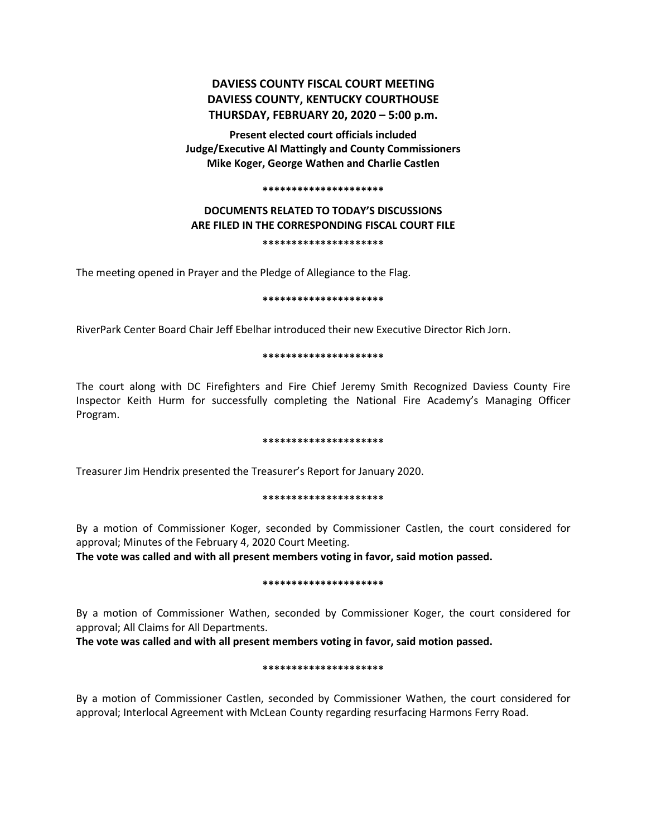# **DAVIESS COUNTY FISCAL COURT MEETING DAVIESS COUNTY, KENTUCKY COURTHOUSE THURSDAY, FEBRUARY 20, 2020 – 5:00 p.m.**

**Present elected court officials included Judge/Executive Al Mattingly and County Commissioners Mike Koger, George Wathen and Charlie Castlen**

#### **\*\*\*\*\*\*\*\*\*\*\*\*\*\*\*\*\*\*\*\*\***

## **DOCUMENTS RELATED TO TODAY'S DISCUSSIONS ARE FILED IN THE CORRESPONDING FISCAL COURT FILE \*\*\*\*\*\*\*\*\*\*\*\*\*\*\*\*\*\*\*\*\***

The meeting opened in Prayer and the Pledge of Allegiance to the Flag.

### **\*\*\*\*\*\*\*\*\*\*\*\*\*\*\*\*\*\*\*\*\***

RiverPark Center Board Chair Jeff Ebelhar introduced their new Executive Director Rich Jorn.

### **\*\*\*\*\*\*\*\*\*\*\*\*\*\*\*\*\*\*\*\*\***

The court along with DC Firefighters and Fire Chief Jeremy Smith Recognized Daviess County Fire Inspector Keith Hurm for successfully completing the National Fire Academy's Managing Officer Program.

### **\*\*\*\*\*\*\*\*\*\*\*\*\*\*\*\*\*\*\*\*\***

Treasurer Jim Hendrix presented the Treasurer's Report for January 2020.

### **\*\*\*\*\*\*\*\*\*\*\*\*\*\*\*\*\*\*\*\*\***

By a motion of Commissioner Koger, seconded by Commissioner Castlen, the court considered for approval; Minutes of the February 4, 2020 Court Meeting.

**The vote was called and with all present members voting in favor, said motion passed.** 

### **\*\*\*\*\*\*\*\*\*\*\*\*\*\*\*\*\*\*\*\*\***

By a motion of Commissioner Wathen, seconded by Commissioner Koger, the court considered for approval; All Claims for All Departments.

**The vote was called and with all present members voting in favor, said motion passed.** 

### **\*\*\*\*\*\*\*\*\*\*\*\*\*\*\*\*\*\*\*\*\***

By a motion of Commissioner Castlen, seconded by Commissioner Wathen, the court considered for approval; Interlocal Agreement with McLean County regarding resurfacing Harmons Ferry Road.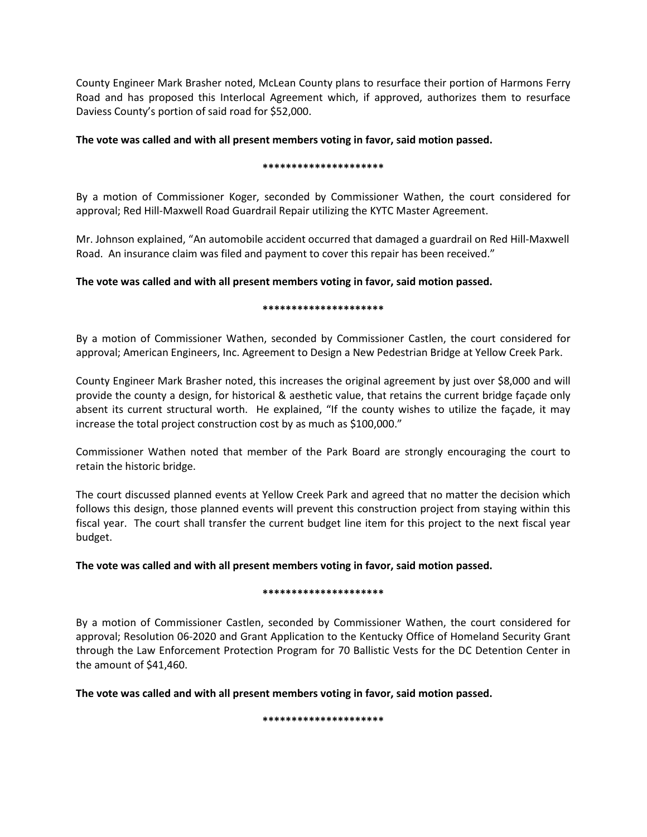County Engineer Mark Brasher noted, McLean County plans to resurface their portion of Harmons Ferry Road and has proposed this Interlocal Agreement which, if approved, authorizes them to resurface Daviess County's portion of said road for \$52,000.

## **The vote was called and with all present members voting in favor, said motion passed.**

## **\*\*\*\*\*\*\*\*\*\*\*\*\*\*\*\*\*\*\*\*\***

By a motion of Commissioner Koger, seconded by Commissioner Wathen, the court considered for approval; Red Hill-Maxwell Road Guardrail Repair utilizing the KYTC Master Agreement.

Mr. Johnson explained, "An automobile accident occurred that damaged a guardrail on Red Hill-Maxwell Road. An insurance claim was filed and payment to cover this repair has been received."

## **The vote was called and with all present members voting in favor, said motion passed.**

## **\*\*\*\*\*\*\*\*\*\*\*\*\*\*\*\*\*\*\*\*\***

By a motion of Commissioner Wathen, seconded by Commissioner Castlen, the court considered for approval; American Engineers, Inc. Agreement to Design a New Pedestrian Bridge at Yellow Creek Park.

County Engineer Mark Brasher noted, this increases the original agreement by just over \$8,000 and will provide the county a design, for historical & aesthetic value, that retains the current bridge façade only absent its current structural worth. He explained, "If the county wishes to utilize the façade, it may increase the total project construction cost by as much as \$100,000."

Commissioner Wathen noted that member of the Park Board are strongly encouraging the court to retain the historic bridge.

The court discussed planned events at Yellow Creek Park and agreed that no matter the decision which follows this design, those planned events will prevent this construction project from staying within this fiscal year. The court shall transfer the current budget line item for this project to the next fiscal year budget.

## **The vote was called and with all present members voting in favor, said motion passed.**

### **\*\*\*\*\*\*\*\*\*\*\*\*\*\*\*\*\*\*\*\*\***

By a motion of Commissioner Castlen, seconded by Commissioner Wathen, the court considered for approval; Resolution 06-2020 and Grant Application to the Kentucky Office of Homeland Security Grant through the Law Enforcement Protection Program for 70 Ballistic Vests for the DC Detention Center in the amount of \$41,460.

**The vote was called and with all present members voting in favor, said motion passed.** 

**\*\*\*\*\*\*\*\*\*\*\*\*\*\*\*\*\*\*\*\*\***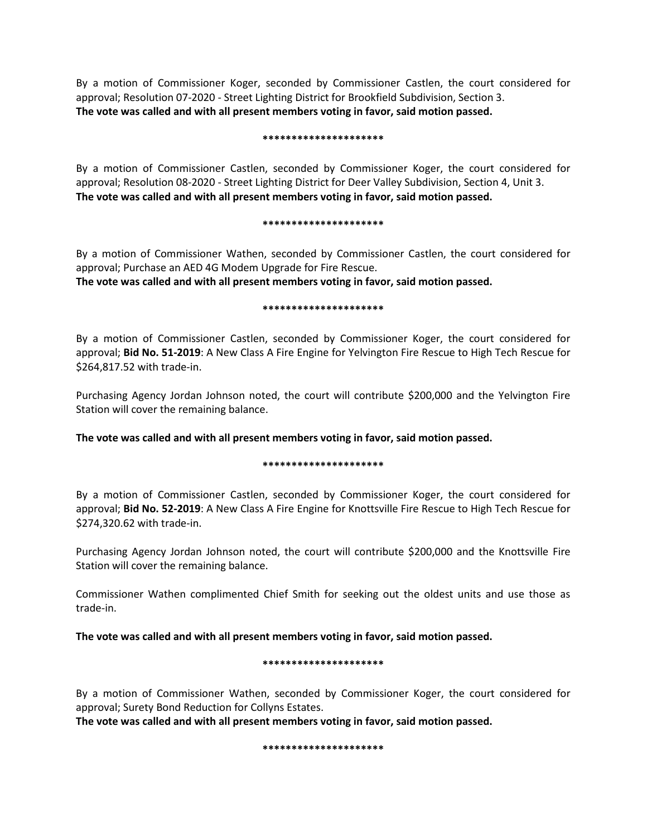By a motion of Commissioner Koger, seconded by Commissioner Castlen, the court considered for approval; Resolution 07-2020 - Street Lighting District for Brookfield Subdivision, Section 3. **The vote was called and with all present members voting in favor, said motion passed.** 

### **\*\*\*\*\*\*\*\*\*\*\*\*\*\*\*\*\*\*\*\*\***

By a motion of Commissioner Castlen, seconded by Commissioner Koger, the court considered for approval; Resolution 08-2020 - Street Lighting District for Deer Valley Subdivision, Section 4, Unit 3. **The vote was called and with all present members voting in favor, said motion passed.** 

#### **\*\*\*\*\*\*\*\*\*\*\*\*\*\*\*\*\*\*\*\*\***

By a motion of Commissioner Wathen, seconded by Commissioner Castlen, the court considered for approval; Purchase an AED 4G Modem Upgrade for Fire Rescue.

**The vote was called and with all present members voting in favor, said motion passed.** 

### **\*\*\*\*\*\*\*\*\*\*\*\*\*\*\*\*\*\*\*\*\***

By a motion of Commissioner Castlen, seconded by Commissioner Koger, the court considered for approval; **Bid No. 51-2019**: A New Class A Fire Engine for Yelvington Fire Rescue to High Tech Rescue for \$264,817.52 with trade-in.

Purchasing Agency Jordan Johnson noted, the court will contribute \$200,000 and the Yelvington Fire Station will cover the remaining balance.

**The vote was called and with all present members voting in favor, said motion passed.** 

### **\*\*\*\*\*\*\*\*\*\*\*\*\*\*\*\*\*\*\*\*\***

By a motion of Commissioner Castlen, seconded by Commissioner Koger, the court considered for approval; **Bid No. 52-2019**: A New Class A Fire Engine for Knottsville Fire Rescue to High Tech Rescue for \$274,320.62 with trade-in.

Purchasing Agency Jordan Johnson noted, the court will contribute \$200,000 and the Knottsville Fire Station will cover the remaining balance.

Commissioner Wathen complimented Chief Smith for seeking out the oldest units and use those as trade-in.

**The vote was called and with all present members voting in favor, said motion passed.** 

### **\*\*\*\*\*\*\*\*\*\*\*\*\*\*\*\*\*\*\*\*\***

By a motion of Commissioner Wathen, seconded by Commissioner Koger, the court considered for approval; Surety Bond Reduction for Collyns Estates.

**The vote was called and with all present members voting in favor, said motion passed.** 

**\*\*\*\*\*\*\*\*\*\*\*\*\*\*\*\*\*\*\*\*\***